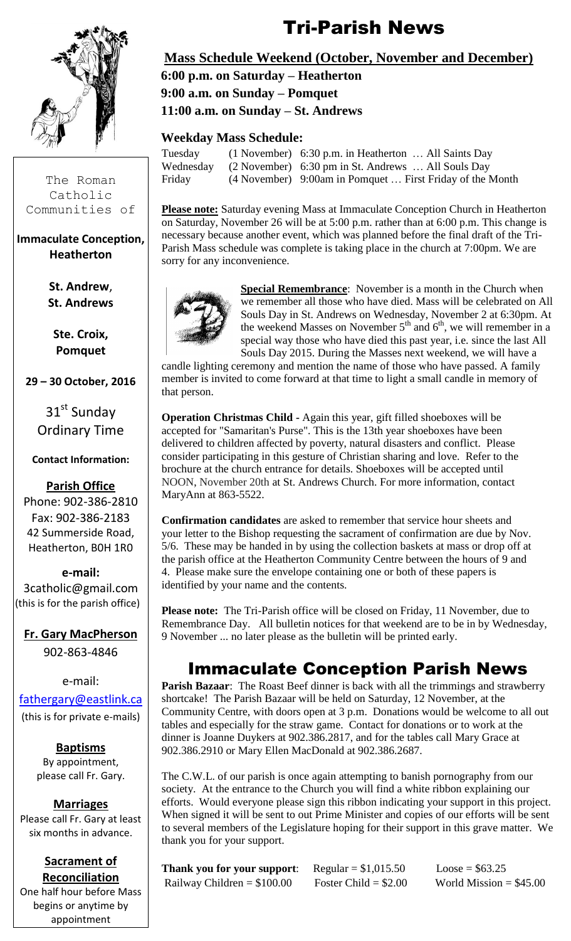

The Roman Catholic Communities of

#### **Immaculate Conception, Heatherton**

**St. Andrew**, **St. Andrews**

**Ste. Croix, Pomquet**

**29 – 30 October, 2016**

 $31<sup>st</sup>$  Sunday Ordinary Time

#### **Contact Information:**

#### **Parish Office**

Phone: 902-386-2810 Fax: 902-386-2183 42 Summerside Road, Heatherton, B0H 1R0

**e-mail:** 3catholic@gmail.com (this is for the parish office)

**Fr. Gary MacPherson** 902-863-4846

e-mail:

[fathergary@eastlink.ca](mailto:fathergary@eastlink.ca) (this is for private e-mails)

> **Baptisms** By appointment, please call Fr. Gary.

**Marriages** Please call Fr. Gary at least six months in advance.

#### **Sacrament of Reconciliation**

One half hour before Mass begins or anytime by appointment

# Tri-Parish News

#### **Mass Schedule Weekend (October, November and December)**

 **6:00 p.m. on Saturday – Heatherton 9:00 a.m. on Sunday – Pomquet 11:00 a.m. on Sunday – St. Andrews**

#### **Weekday Mass Schedule:**

| Tuesday   | $(1$ November) 6:30 p.m. in Heatherton $\dots$ All Saints Day |
|-----------|---------------------------------------------------------------|
| Wednesday | $(2$ November) 6:30 pm in St. Andrews  All Souls Day          |
| Friday    | (4 November) 9:00am in Pomquet  First Friday of the Month     |

**Please note:** Saturday evening Mass at Immaculate Conception Church in Heatherton on Saturday, November 26 will be at 5:00 p.m. rather than at 6:00 p.m. This change is necessary because another event, which was planned before the final draft of the Tri-Parish Mass schedule was complete is taking place in the church at 7:00pm. We are sorry for any inconvenience.



**Special Remembrance**: November is a month in the Church when we remember all those who have died. Mass will be celebrated on All Souls Day in St. Andrews on Wednesday, November 2 at 6:30pm. At the weekend Masses on November  $5<sup>th</sup>$  and  $6<sup>th</sup>$ , we will remember in a special way those who have died this past year, i.e. since the last All Souls Day 2015. During the Masses next weekend, we will have a

candle lighting ceremony and mention the name of those who have passed. A family member is invited to come forward at that time to light a small candle in memory of that person.

**Operation Christmas Child -** Again this year, gift filled shoeboxes will be accepted for "Samaritan's Purse". This is the 13th year shoeboxes have been delivered to children affected by poverty, natural disasters and conflict. Please consider participating in this gesture of Christian sharing and love. Refer to the brochure at the church entrance for details. Shoeboxes will be accepted until NOON, November 20th at St. Andrews Church. For more information, contact MaryAnn at 863-5522.

**Confirmation candidates** are asked to remember that service hour sheets and your letter to the Bishop requesting the sacrament of confirmation are due by Nov. 5/6. These may be handed in by using the collection baskets at mass or drop off at the parish office at the Heatherton Community Centre between the hours of 9 and 4. Please make sure the envelope containing one or both of these papers is identified by your name and the contents.

**Please note:** The Tri-Parish office will be closed on Friday, 11 November, due to Remembrance Day. All bulletin notices for that weekend are to be in by Wednesday, 9 November ... no later please as the bulletin will be printed early.

# Immaculate Conception Parish News

**Parish Bazaar**: The Roast Beef dinner is back with all the trimmings and strawberry shortcake! The Parish Bazaar will be held on Saturday, 12 November, at the Community Centre, with doors open at 3 p.m. Donations would be welcome to all out tables and especially for the straw game. Contact for donations or to work at the dinner is Joanne Duykers at 902.386.2817, and for the tables call Mary Grace at 902.386.2910 or Mary Ellen MacDonald at 902.386.2687.

The C.W.L. of our parish is once again attempting to banish pornography from our society. At the entrance to the Church you will find a white ribbon explaining our efforts. Would everyone please sign this ribbon indicating your support in this project. When signed it will be sent to out Prime Minister and copies of our efforts will be sent to several members of the Legislature hoping for their support in this grave matter. We thank you for your support.

| <b>Thank you for your support:</b> ${\rm Regular} = $1,015.50$ |                        | $Loose = $63.25$         |
|----------------------------------------------------------------|------------------------|--------------------------|
| Railway Children $= $100.00$                                   | Foster Child = $$2.00$ | World Mission $= $45.00$ |